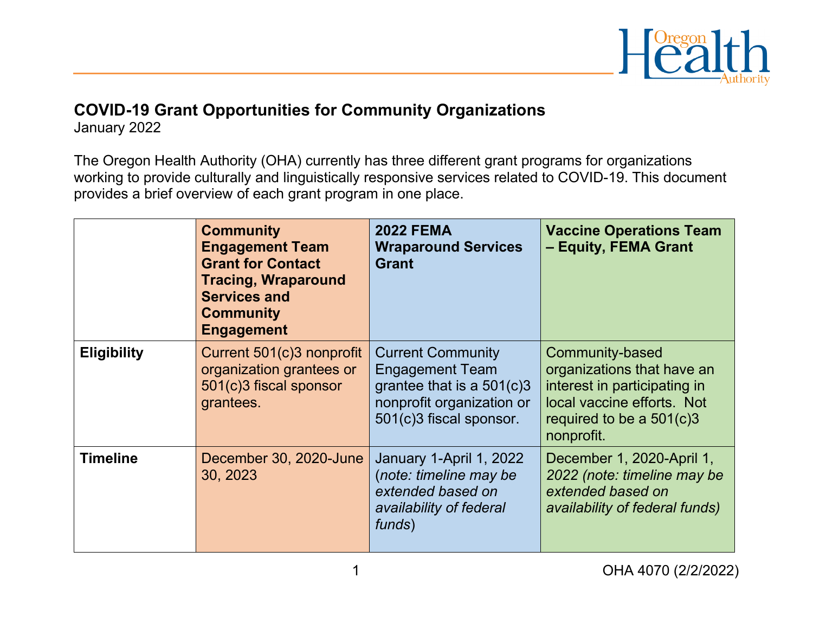

## **COVID-19 Grant Opportunities for Community Organizations**

January 2022

The Oregon Health Authority (OHA) currently has three different grant programs for organizations working to provide culturally and linguistically responsive services related to COVID-19. This document provides a brief overview of each grant program in one place.

|                    | <b>Community</b><br><b>Engagement Team</b><br><b>Grant for Contact</b><br><b>Tracing, Wraparound</b><br><b>Services and</b><br><b>Community</b><br><b>Engagement</b> | <b>2022 FEMA</b><br><b>Wraparound Services</b><br><b>Grant</b>                                                                            | <b>Vaccine Operations Team</b><br>- Equity, FEMA Grant                                                                                                  |
|--------------------|----------------------------------------------------------------------------------------------------------------------------------------------------------------------|-------------------------------------------------------------------------------------------------------------------------------------------|---------------------------------------------------------------------------------------------------------------------------------------------------------|
| <b>Eligibility</b> | Current 501(c)3 nonprofit<br>organization grantees or<br>501(c)3 fiscal sponsor<br>grantees.                                                                         | <b>Current Community</b><br><b>Engagement Team</b><br>grantee that is a $501(c)3$<br>nonprofit organization or<br>501(c)3 fiscal sponsor. | Community-based<br>organizations that have an<br>interest in participating in<br>local vaccine efforts. Not<br>required to be a $501(c)3$<br>nonprofit. |
| <b>Timeline</b>    | December 30, 2020-June<br>30, 2023                                                                                                                                   | January 1-April 1, 2022<br>(note: timeline may be<br>extended based on<br>availability of federal<br>funds)                               | December 1, 2020-April 1,<br>2022 (note: timeline may be<br>extended based on<br>availability of federal funds)                                         |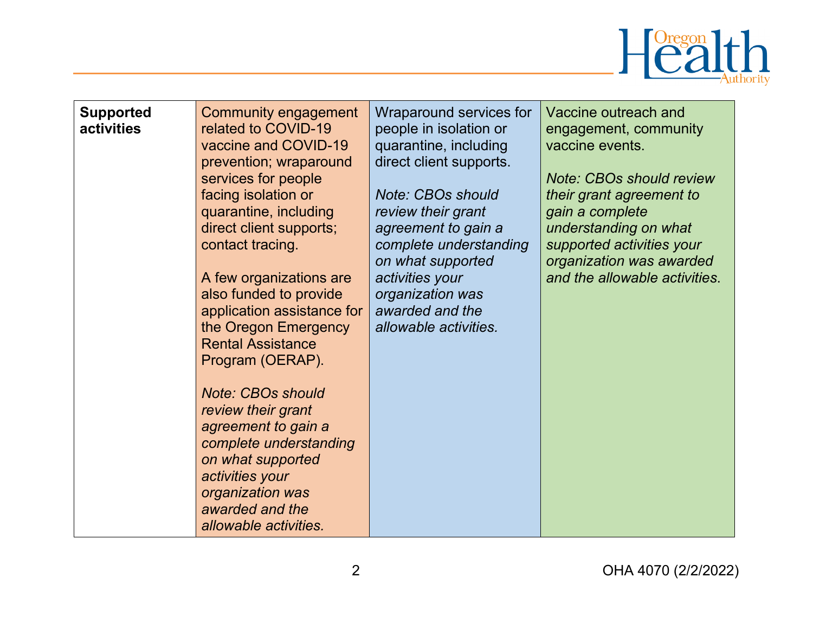

| <b>Supported</b><br>activities | Community engagement<br>related to COVID-19<br>vaccine and COVID-19<br>prevention; wraparound<br>services for people<br>facing isolation or<br>quarantine, including<br>direct client supports;<br>contact tracing.<br>A few organizations are<br>also funded to provide<br>application assistance for<br>the Oregon Emergency<br><b>Rental Assistance</b><br>Program (OERAP).<br><b>Note: CBOs should</b><br>review their grant<br>agreement to gain a<br>complete understanding<br>on what supported<br>activities your<br>organization was | Wraparound services for<br>people in isolation or<br>quarantine, including<br>direct client supports.<br><b>Note: CBOs should</b><br>review their grant<br>agreement to gain a<br>complete understanding<br>on what supported<br>activities your<br>organization was<br>awarded and the<br>allowable activities. | Vaccine outreach and<br>engagement, community<br>vaccine events.<br><b>Note: CBOs should review</b><br>their grant agreement to<br>gain a complete<br>understanding on what<br>supported activities your<br>organization was awarded<br>and the allowable activities. |
|--------------------------------|-----------------------------------------------------------------------------------------------------------------------------------------------------------------------------------------------------------------------------------------------------------------------------------------------------------------------------------------------------------------------------------------------------------------------------------------------------------------------------------------------------------------------------------------------|------------------------------------------------------------------------------------------------------------------------------------------------------------------------------------------------------------------------------------------------------------------------------------------------------------------|-----------------------------------------------------------------------------------------------------------------------------------------------------------------------------------------------------------------------------------------------------------------------|
|                                | awarded and the<br>allowable activities.                                                                                                                                                                                                                                                                                                                                                                                                                                                                                                      |                                                                                                                                                                                                                                                                                                                  |                                                                                                                                                                                                                                                                       |